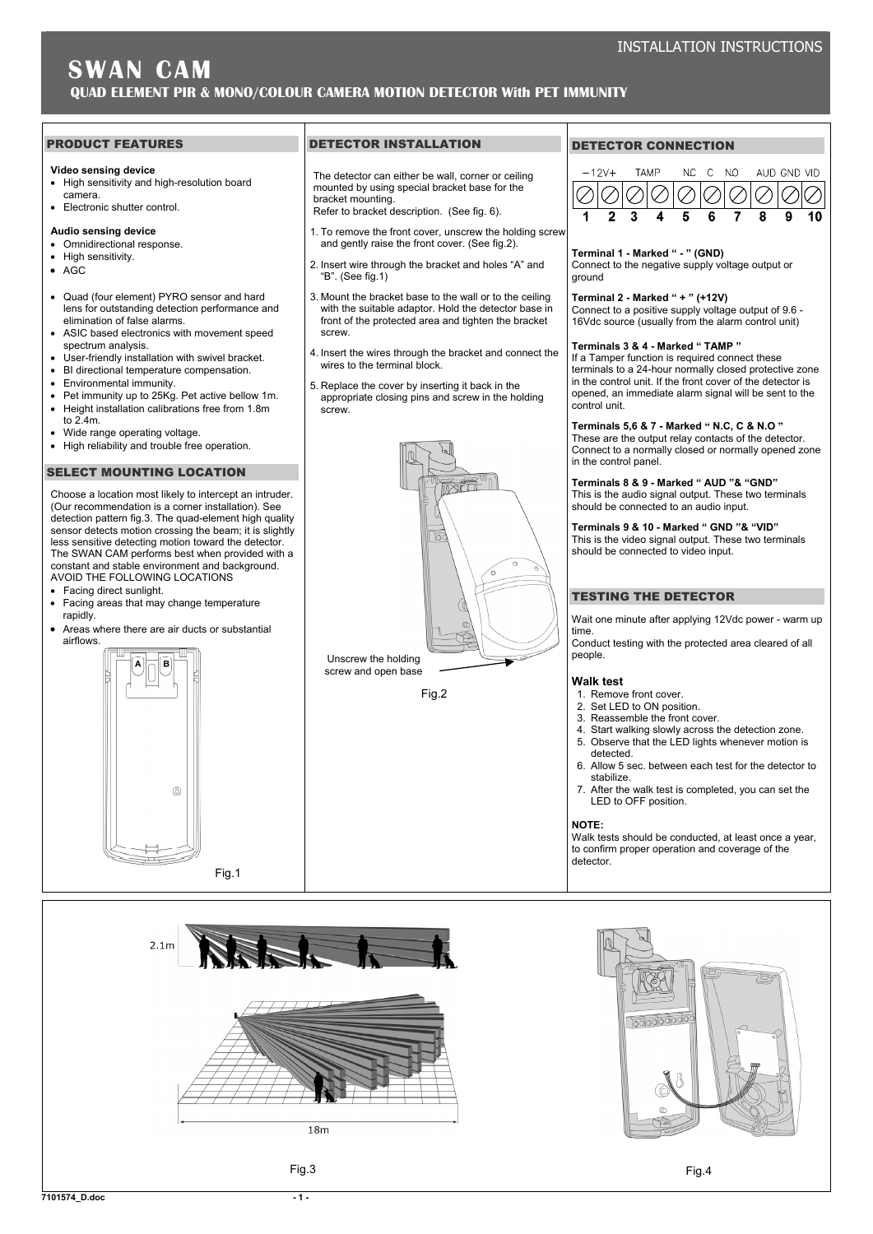## PRODUCT FEATURES

#### **Video sensing device**

- High sensitivity and high-resolution board camera.
- Electronic shutter control.

# **Audio sensing device**

- Omnidirectional response.
- High sensitivity.
- $AGC$
- Quad (four element) PYRO sensor and hard lens for outstanding detection performance and elimination of false alarms.
- ASIC based electronics with movement speed spectrum analysis.
- User-friendly installation with swivel bracket.
- BI directional temperature compensation.
- Environmental immunity.
- Pet immunity up to 25Kg. Pet active bellow 1m. • Height installation calibrations free from 1.8m
- to 2.4m.
- Wide range operating voltage.
- High reliability and trouble free operation.

## SELECT MOUNTING LOCATION

Choose a location most likely to intercept an intruder. (Our recommendation is a corner installation). See detection pattern fig.3. The quad-element high quality sensor detects motion crossing the beam; it is slightly less sensitive detecting motion toward the detector. The SWAN CAM performs best when provided with a constant and stable environment and background. AVOID THE FOLLOWING LOCATIONS

- Facing direct sunlight.
- Facing areas that may change temperature rapidly.
- Areas where there are air ducts or substantial airflows.



## DETECTOR INSTALLATION

The detector can either be wall, corner or ceiling mounted by using special bracket base for the bracket mounting.

- Refer to bracket description. (See fig. 6).
- 1. To remove the front cover, unscrew the holding screw and gently raise the front cover. (See fig.2).
- 2. Insert wire through the bracket and holes "A" and "B". (See fig.1)
- 3. Mount the bracket base to the wall or to the ceiling with the suitable adaptor. Hold the detector base in front of the protected area and tighten the bracket screw.
- 4. Insert the wires through the bracket and connect the wires to the terminal block.
- 5. Replace the cover by inserting it back in the appropriate closing pins and screw in the holding screw.



# DETECTOR CONNECTION



# **Terminal 1 - Marked " - " (GND)**

Connect to the negative supply voltage output or ground

## **Terminal 2 - Marked " + " (+12V)**

Connect to a positive supply voltage output of 9.6 - 16Vdc source (usually from the alarm control unit)

## **Terminals 3 & 4 - Marked " TAMP "**

If a Tamper function is required connect these terminals to a 24-hour normally closed protective zone in the control unit. If the front cover of the detector is opened, an immediate alarm signal will be sent to the control unit.

# **Terminals 5,6 & 7 - Marked " N.C, C & N.O "**

These are the output relay contacts of the detector. Connect to a normally closed or normally opened zone in the control panel.

#### **Terminals 8 & 9 - Marked " AUD "& "GND"**  This is the audio signal output. These two terminals

should be connected to an audio input.

**Terminals 9 & 10 - Marked " GND "& "VID"**  This is the video signal output. These two terminals should be connected to video input.

# TESTING THE DETECTOR

Wait one minute after applying 12Vdc power - warm up time.

Conduct testing with the protected area cleared of all people.

#### **Walk test**

- 1. Remove front cover.
- 2. Set LED to ON position.
- 3. Reassemble the front cover.
- 4. Start walking slowly across the detection zone. 5. Observe that the LED lights whenever motion is
- detected. 6. Allow 5 sec. between each test for the detector to
- stabilize.
- 7. After the walk test is completed, you can set the LED to OFF position.

### **NOTE:**

Walk tests should be conducted, at least once a year, to confirm proper operation and coverage of the detector.

冯